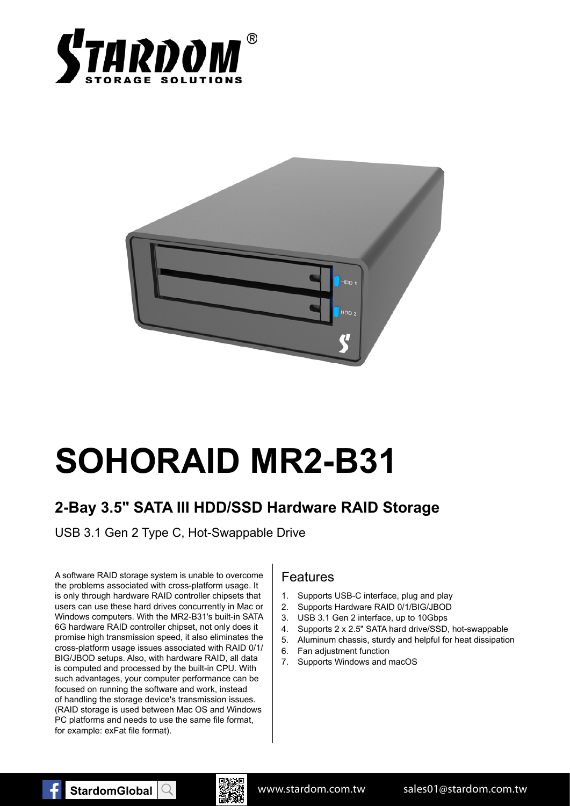



# **SOHORAID MR2-B31**

# **2-Bay 3.5" SATA III HDD/SSD Hardware RAID Storage**

USB 3.1 Gen 2 Type C, Hot-Swappable Drive

A software RAID storage system is unable to overcome the problems associated with cross-platform usage. It is only through hardware RAID controller chipsets that users can use these hard drives concurrently in Mac or Windows computers. With the MR2-B31's built-in SATA 6G hardware RAID controller chipset, not only does it promise high transmission speed, it also eliminates the cross-platform usage issues associated with RAID 0/1/ BIG/JBOD setups. Also, with hardware RAID, all data is computed and processed by the built-in CPU. With such advantages, your computer performance can be focused on running the software and work, instead of handling the storage device's transmission issues. (RAID storage is used between Mac OS and Windows PC platforms and needs to use the same file format, for example: exFat file format).

#### Features

- 1. Supports USB-C interface, plug and play
- 2. Supports Hardware RAID 0/1/BIG/JBOD
- 3. USB 3.1 Gen 2 interface, up to 10Gbps
- 4. Supports 2 x 2.5" SATA hard drive/SSD, hot-swappable
- 5. Aluminum chassis, sturdy and helpful for heat dissipation
- 6. Fan adjustment function
- 7. Supports Windows and macOS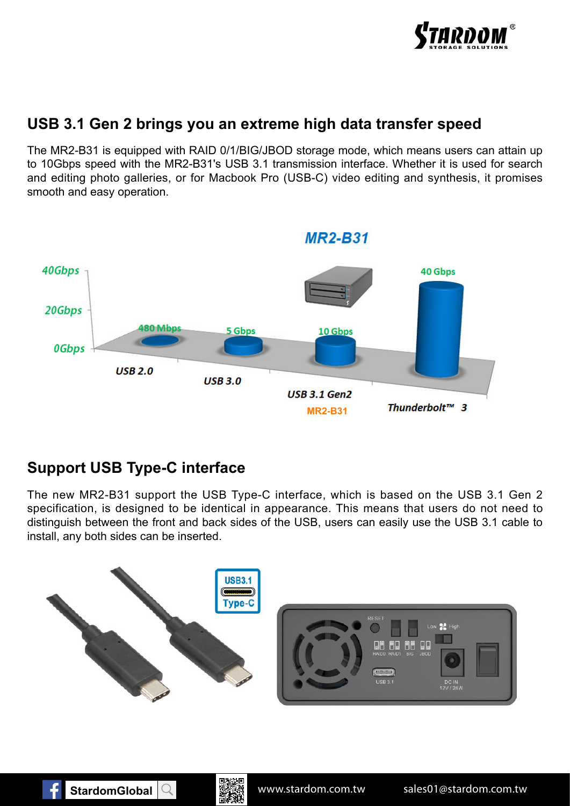

### **USB 3.1 Gen 2 brings you an extreme high data transfer speed**

The MR2-B31 is equipped with RAID 0/1/BIG/JBOD storage mode, which means users can attain up to 10Gbps speed with the MR2-B31's USB 3.1 transmission interface. Whether it is used for search and editing photo galleries, or for Macbook Pro (USB-C) video editing and synthesis, it promises smooth and easy operation.



## **Support USB Type-C interface**

The new MR2-B31 support the USB Type-C interface, which is based on the USB 3.1 Gen 2 specification, is designed to be identical in appearance. This means that users do not need to distinguish between the front and back sides of the USB, users can easily use the USB 3.1 cable to install, any both sides can be inserted.